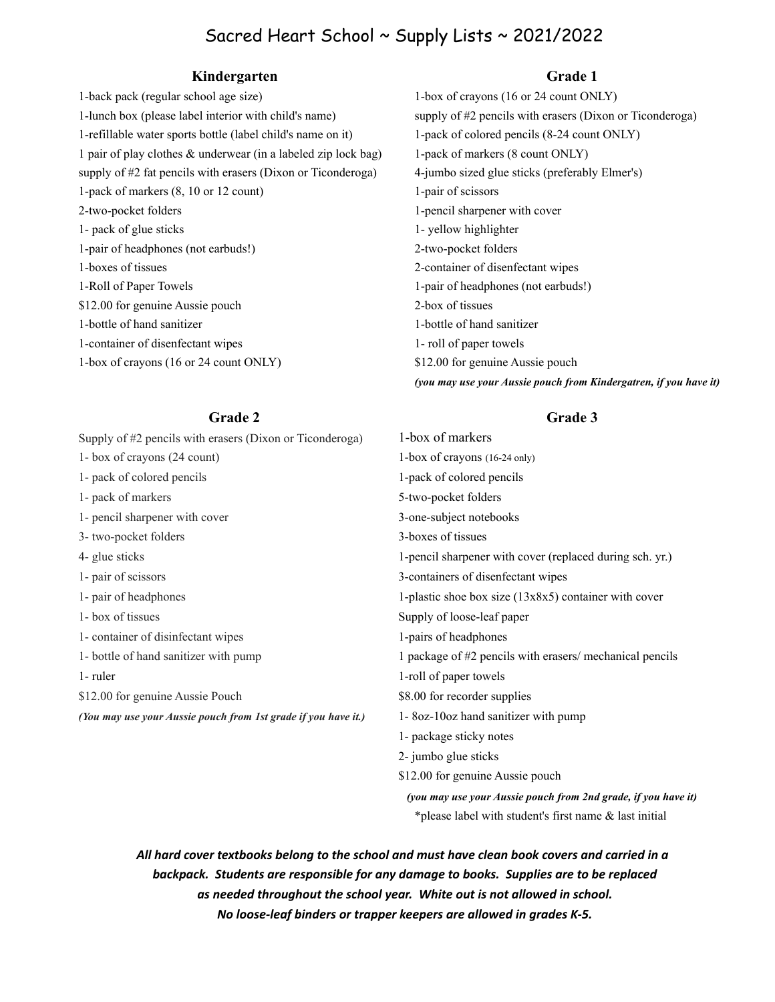## Sacred Heart School ~ Supply Lists ~ 2021/2022

### **Kindergarten Grade 1**

1-back pack (regular school age size) 1-box of crayons (16 or 24 count ONLY) 1-lunch box (please label interior with child's name) supply of #2 pencils with erasers (Dixon or Ticonderoga) 1-refillable water sports bottle (label child's name on it) 1-pack of colored pencils (8-24 count ONLY) 1 pair of play clothes & underwear (in a labeled zip lock bag) 1-pack of markers (8 count ONLY) supply of #2 fat pencils with erasers (Dixon or Ticonderoga) 4-jumbo sized glue sticks (preferably Elmer's) 1-pack of markers  $(8, 10 \text{ or } 12 \text{ count})$  1-pair of scissors 2-two-pocket folders 1-pencil sharpener with cover 1- pack of glue sticks 1- yellow highlighter 1-pair of headphones (not earbuds!) 2-two-pocket folders 1-boxes of tissues 2-container of disenfectant wipes 1-Roll of Paper Towels 1-pair of headphones (not earbuds!) \$12.00 for genuine Aussie pouch 2-box of tissues 1-bottle of hand sanitizer 1-bottle of hand sanitizer 1-container of disenfectant wipes 1- roll of paper towels 1-box of crayons (16 or 24 count ONLY) \$12.00 for genuine Aussie pouch

*(you may use your Aussie pouch from Kindergatren, if you have it)*

\*please label with student's first name & last initial

Supply of #2 pencils with erasers (Dixon or Ticonderoga) 1-box of markers 1- box of crayons (24 count) 1-box of crayons (16-24 only) 1- pack of colored pencils 1-pack of colored pencils 1- pack of markers 5-two-pocket folders 1- pencil sharpener with cover 3-one-subject notebooks 3- two-pocket folders 3-boxes of tissues 4- glue sticks 1-pencil sharpener with cover (replaced during sch. yr.) 1- pair of scissors 3-containers of disenfectant wipes 1- pair of headphones 1-plastic shoe box size (13x8x5) container with cover 1- box of tissues Supply of loose-leaf paper 1- container of disinfectant wipes 1-pairs of headphones 1- bottle of hand sanitizer with pump 1 package of #2 pencils with erasers/ mechanical pencils 1-ruler 1-ruler \$12.00 for genuine Aussie Pouch \$8.00 for recorder supplies *(You may use your Aussie pouch from 1st grade if you have it.)* 1- 8oz-10oz hand sanitizer with pump 1- package sticky notes 2- jumbo glue sticks \$12.00 for genuine Aussie pouch  *(you may use your Aussie pouch from 2nd grade, if you have it)*

*All hard cover textbooks belong to the school and must have clean book covers and carried in a backpack. Students are responsible for any damage to books. Supplies are to be replaced as needed throughout the school year. White out is not allowed in school. No loose-leaf binders or trapper keepers are allowed in grades K-5.*

### **Grade 2 Grade 3**